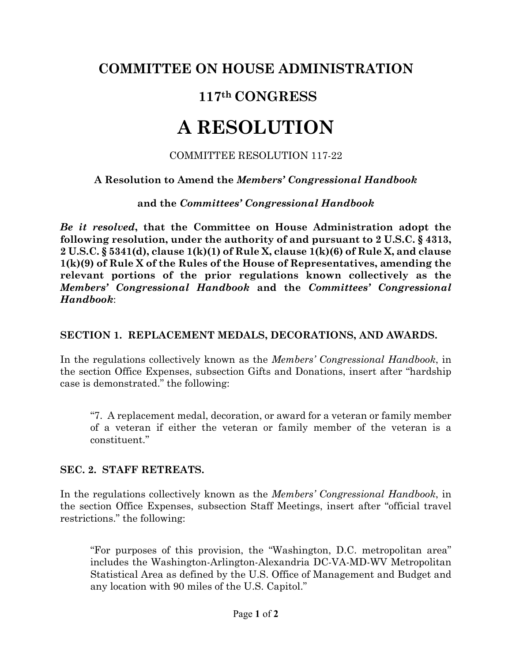## **COMMITTEE ON HOUSE ADMINISTRATION**

# **117th CONGRESS**

# **A RESOLUTION**

#### COMMITTEE RESOLUTION 117-22

### **A Resolution to Amend the** *Members' Congressional Handbook*

#### **and the** *Committees' Congressional Handbook*

*Be it resolved***, that the Committee on House Administration adopt the following resolution, under the authority of and pursuant to 2 U.S.C. § 4313, 2 U.S.C. § 5341(d), clause 1(k)(1) of Rule X, clause 1(k)(6) of Rule X, and clause 1(k)(9) of Rule X of the Rules of the House of Representatives, amending the relevant portions of the prior regulations known collectively as the** *Members' Congressional Handbook* **and the** *Committees' Congressional Handbook*:

## **SECTION 1. REPLACEMENT MEDALS, DECORATIONS, AND AWARDS.**

In the regulations collectively known as the *Members' Congressional Handbook*, in the section Office Expenses, subsection Gifts and Donations, insert after "hardship case is demonstrated." the following:

"7. A replacement medal, decoration, or award for a veteran or family member of a veteran if either the veteran or family member of the veteran is a constituent."

#### **SEC. 2. STAFF RETREATS.**

In the regulations collectively known as the *Members' Congressional Handbook*, in the section Office Expenses, subsection Staff Meetings, insert after "official travel restrictions." the following:

"For purposes of this provision, the "Washington, D.C. metropolitan area" includes the Washington-Arlington-Alexandria DC-VA-MD-WV Metropolitan Statistical Area as defined by the U.S. Office of Management and Budget and any location with 90 miles of the U.S. Capitol."